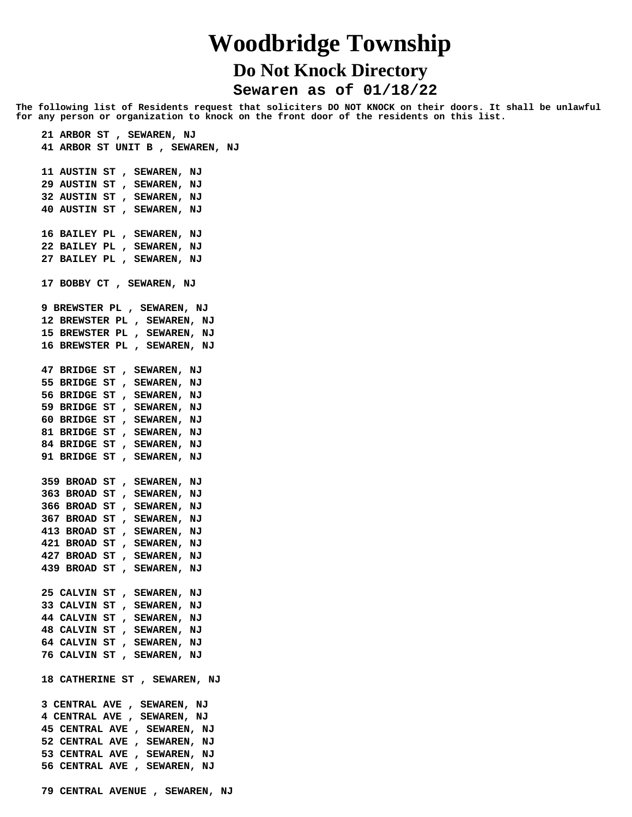## **Woodbridge Township Do Not Knock Directory**

 **Sewaren as of 01/18/22**

**The following list of Residents request that soliciters DO NOT KNOCK on their doors. It shall be unlawful for any person or organization to knock on the front door of the residents on this list.**

 **21 ARBOR ST , SEWAREN, NJ 41 ARBOR ST UNIT B , SEWAREN, NJ 11 AUSTIN ST , SEWAREN, NJ 29 AUSTIN ST , SEWAREN, NJ 32 AUSTIN ST , SEWAREN, NJ 40 AUSTIN ST , SEWAREN, NJ 16 BAILEY PL , SEWAREN, NJ 22 BAILEY PL , SEWAREN, NJ 27 BAILEY PL , SEWAREN, NJ 17 BOBBY CT , SEWAREN, NJ 9 BREWSTER PL , SEWAREN, NJ 12 BREWSTER PL , SEWAREN, NJ 15 BREWSTER PL , SEWAREN, NJ 16 BREWSTER PL , SEWAREN, NJ 47 BRIDGE ST , SEWAREN, NJ 55 BRIDGE ST , SEWAREN, NJ 56 BRIDGE ST , SEWAREN, NJ 59 BRIDGE ST , SEWAREN, NJ 60 BRIDGE ST , SEWAREN, NJ 81 BRIDGE ST , SEWAREN, NJ 84 BRIDGE ST , SEWAREN, NJ 91 BRIDGE ST , SEWAREN, NJ 359 BROAD ST , SEWAREN, NJ 363 BROAD ST , SEWAREN, NJ 366 BROAD ST , SEWAREN, NJ 367 BROAD ST , SEWAREN, NJ 413 BROAD ST , SEWAREN, NJ 421 BROAD ST , SEWAREN, NJ 427 BROAD ST , SEWAREN, NJ 439 BROAD ST , SEWAREN, NJ 25 CALVIN ST , SEWAREN, NJ 33 CALVIN ST , SEWAREN, NJ 44 CALVIN ST , SEWAREN, NJ 48 CALVIN ST , SEWAREN, NJ 64 CALVIN ST , SEWAREN, NJ 76 CALVIN ST , SEWAREN, NJ 18 CATHERINE ST , SEWAREN, NJ 3 CENTRAL AVE , SEWAREN, NJ 4 CENTRAL AVE , SEWAREN, NJ 45 CENTRAL AVE , SEWAREN, NJ 52 CENTRAL AVE , SEWAREN, NJ 53 CENTRAL AVE , SEWAREN, NJ 56 CENTRAL AVE , SEWAREN, NJ 79 CENTRAL AVENUE , SEWAREN, NJ**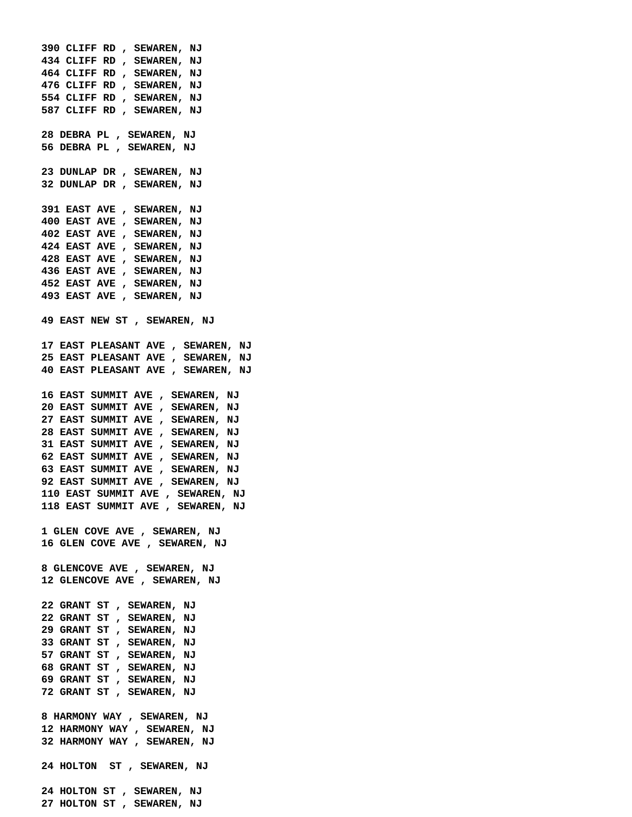**390 CLIFF RD , SEWAREN, NJ 434 CLIFF RD , SEWAREN, NJ 464 CLIFF RD , SEWAREN, NJ 476 CLIFF RD , SEWAREN, NJ 554 CLIFF RD , SEWAREN, NJ 587 CLIFF RD , SEWAREN, NJ 28 DEBRA PL , SEWAREN, NJ 56 DEBRA PL , SEWAREN, NJ 23 DUNLAP DR , SEWAREN, NJ 32 DUNLAP DR , SEWAREN, NJ 391 EAST AVE , SEWAREN, NJ 400 EAST AVE , SEWAREN, NJ 402 EAST AVE , SEWAREN, NJ 424 EAST AVE , SEWAREN, NJ 428 EAST AVE , SEWAREN, NJ 436 EAST AVE , SEWAREN, NJ 452 EAST AVE , SEWAREN, NJ 493 EAST AVE , SEWAREN, NJ 49 EAST NEW ST , SEWAREN, NJ 17 EAST PLEASANT AVE , SEWAREN, NJ 25 EAST PLEASANT AVE , SEWAREN, NJ 40 EAST PLEASANT AVE , SEWAREN, NJ 16 EAST SUMMIT AVE , SEWAREN, NJ 20 EAST SUMMIT AVE , SEWAREN, NJ 27 EAST SUMMIT AVE , SEWAREN, NJ 28 EAST SUMMIT AVE , SEWAREN, NJ 31 EAST SUMMIT AVE , SEWAREN, NJ 62 EAST SUMMIT AVE , SEWAREN, NJ 63 EAST SUMMIT AVE , SEWAREN, NJ 92 EAST SUMMIT AVE , SEWAREN, NJ 110 EAST SUMMIT AVE , SEWAREN, NJ 118 EAST SUMMIT AVE , SEWAREN, NJ 1 GLEN COVE AVE , SEWAREN, NJ 16 GLEN COVE AVE , SEWAREN, NJ 8 GLENCOVE AVE , SEWAREN, NJ 12 GLENCOVE AVE , SEWAREN, NJ 22 GRANT ST , SEWAREN, NJ 22 GRANT ST , SEWAREN, NJ 29 GRANT ST , SEWAREN, NJ 33 GRANT ST , SEWAREN, NJ 57 GRANT ST , SEWAREN, NJ 68 GRANT ST , SEWAREN, NJ 69 GRANT ST , SEWAREN, NJ 72 GRANT ST , SEWAREN, NJ 8 HARMONY WAY , SEWAREN, NJ 12 HARMONY WAY , SEWAREN, NJ 32 HARMONY WAY , SEWAREN, NJ 24 HOLTON ST , SEWAREN, NJ 24 HOLTON ST , SEWAREN, NJ 27 HOLTON ST , SEWAREN, NJ**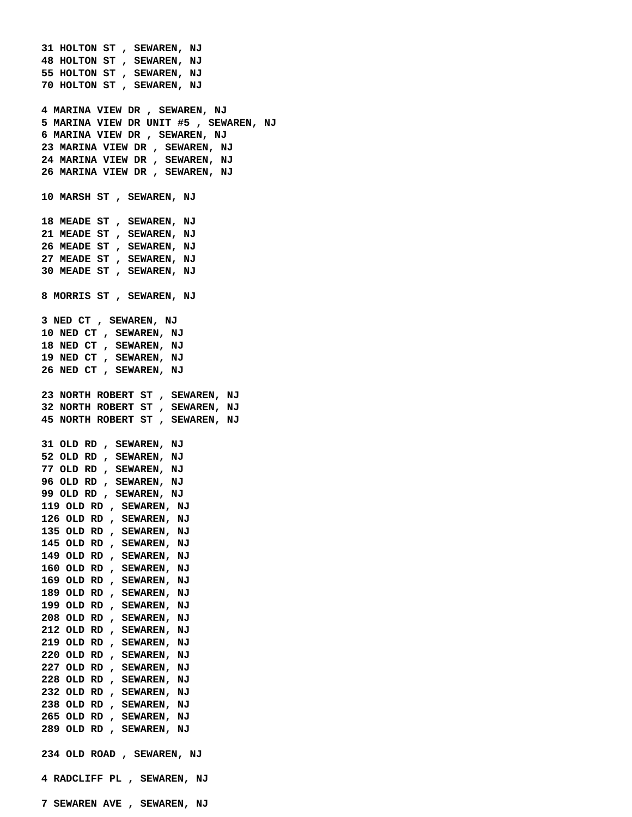**31 HOLTON ST , SEWAREN, NJ 48 HOLTON ST , SEWAREN, NJ 55 HOLTON ST , SEWAREN, NJ 70 HOLTON ST , SEWAREN, NJ 4 MARINA VIEW DR , SEWAREN, NJ 5 MARINA VIEW DR UNIT #5 , SEWAREN, NJ 6 MARINA VIEW DR , SEWAREN, NJ 23 MARINA VIEW DR , SEWAREN, NJ 24 MARINA VIEW DR , SEWAREN, NJ 26 MARINA VIEW DR , SEWAREN, NJ 10 MARSH ST , SEWAREN, NJ 18 MEADE ST , SEWAREN, NJ 21 MEADE ST , SEWAREN, NJ 26 MEADE ST , SEWAREN, NJ 27 MEADE ST , SEWAREN, NJ 30 MEADE ST , SEWAREN, NJ 8 MORRIS ST , SEWAREN, NJ 3 NED CT , SEWAREN, NJ 10 NED CT , SEWAREN, NJ 18 NED CT , SEWAREN, NJ 19 NED CT , SEWAREN, NJ 26 NED CT , SEWAREN, NJ 23 NORTH ROBERT ST , SEWAREN, NJ 32 NORTH ROBERT ST , SEWAREN, NJ 45 NORTH ROBERT ST , SEWAREN, NJ 31 OLD RD , SEWAREN, NJ 52 OLD RD , SEWAREN, NJ 77 OLD RD , SEWAREN, NJ 96 OLD RD , SEWAREN, NJ 99 OLD RD , SEWAREN, NJ 119 OLD RD , SEWAREN, NJ 126 OLD RD , SEWAREN, NJ 135 OLD RD , SEWAREN, NJ 145 OLD RD , SEWAREN, NJ 149 OLD RD , SEWAREN, NJ 160 OLD RD , SEWAREN, NJ 169 OLD RD , SEWAREN, NJ 189 OLD RD , SEWAREN, NJ 199 OLD RD , SEWAREN, NJ 208 OLD RD , SEWAREN, NJ 212 OLD RD , SEWAREN, NJ 219 OLD RD , SEWAREN, NJ 220 OLD RD , SEWAREN, NJ 227 OLD RD , SEWAREN, NJ 228 OLD RD , SEWAREN, NJ 232 OLD RD , SEWAREN, NJ 238 OLD RD , SEWAREN, NJ 265 OLD RD , SEWAREN, NJ 289 OLD RD , SEWAREN, NJ 234 OLD ROAD , SEWAREN, NJ 4 RADCLIFF PL , SEWAREN, NJ 7 SEWAREN AVE , SEWAREN, NJ**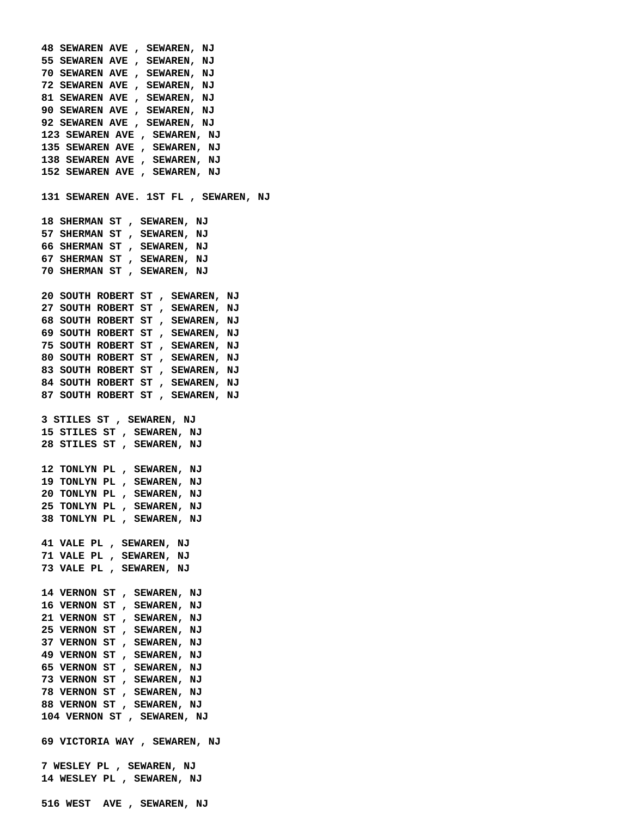**48 SEWAREN AVE , SEWAREN, NJ 55 SEWAREN AVE , SEWAREN, NJ 70 SEWAREN AVE , SEWAREN, NJ 72 SEWAREN AVE , SEWAREN, NJ 81 SEWAREN AVE , SEWAREN, NJ 90 SEWAREN AVE , SEWAREN, NJ 92 SEWAREN AVE , SEWAREN, NJ 123 SEWAREN AVE , SEWAREN, NJ 135 SEWAREN AVE , SEWAREN, NJ 138 SEWAREN AVE , SEWAREN, NJ 152 SEWAREN AVE , SEWAREN, NJ 131 SEWAREN AVE. 1ST FL , SEWAREN, NJ 18 SHERMAN ST , SEWAREN, NJ 57 SHERMAN ST , SEWAREN, NJ 66 SHERMAN ST , SEWAREN, NJ 67 SHERMAN ST , SEWAREN, NJ 70 SHERMAN ST , SEWAREN, NJ 20 SOUTH ROBERT ST , SEWAREN, NJ 27 SOUTH ROBERT ST , SEWAREN, NJ 68 SOUTH ROBERT ST , SEWAREN, NJ 69 SOUTH ROBERT ST , SEWAREN, NJ 75 SOUTH ROBERT ST , SEWAREN, NJ 80 SOUTH ROBERT ST , SEWAREN, NJ 83 SOUTH ROBERT ST , SEWAREN, NJ 84 SOUTH ROBERT ST , SEWAREN, NJ 87 SOUTH ROBERT ST , SEWAREN, NJ 3 STILES ST , SEWAREN, NJ 15 STILES ST , SEWAREN, NJ 28 STILES ST , SEWAREN, NJ 12 TONLYN PL , SEWAREN, NJ 19 TONLYN PL , SEWAREN, NJ 20 TONLYN PL , SEWAREN, NJ 25 TONLYN PL , SEWAREN, NJ 38 TONLYN PL , SEWAREN, NJ 41 VALE PL , SEWAREN, NJ 71 VALE PL , SEWAREN, NJ 73 VALE PL , SEWAREN, NJ 14 VERNON ST , SEWAREN, NJ 16 VERNON ST , SEWAREN, NJ 21 VERNON ST , SEWAREN, NJ 25 VERNON ST , SEWAREN, NJ 37 VERNON ST , SEWAREN, NJ 49 VERNON ST , SEWAREN, NJ 65 VERNON ST , SEWAREN, NJ 73 VERNON ST , SEWAREN, NJ 78 VERNON ST , SEWAREN, NJ 88 VERNON ST , SEWAREN, NJ 104 VERNON ST , SEWAREN, NJ 69 VICTORIA WAY , SEWAREN, NJ 7 WESLEY PL , SEWAREN, NJ 14 WESLEY PL , SEWAREN, NJ 516 WEST AVE , SEWAREN, NJ**